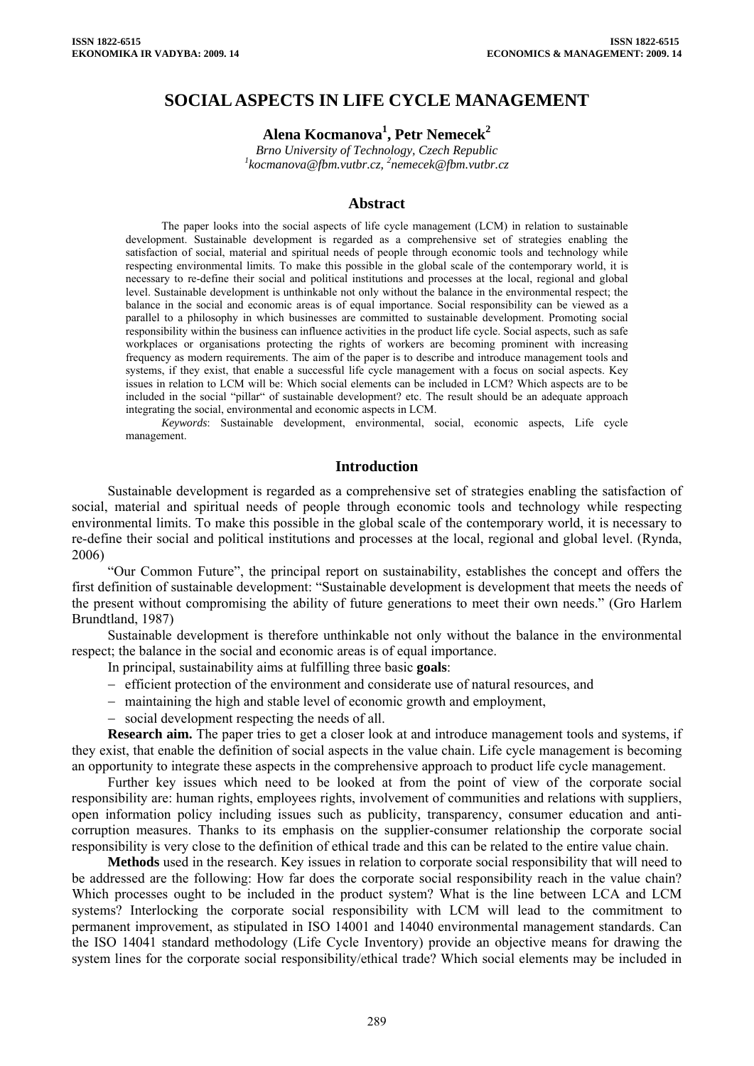# **SOCIAL ASPECTS IN LIFE CYCLE MANAGEMENT**

# **Alena Kocmanova<sup>1</sup> , Petr Nemecek2**

*Brno University of Technology, Czech Republic [1](mailto:1kocmanova@fbm.vutbr.cz) [kocmanova@fbm.vutbr.cz,](mailto:1kocmanova@fbm.vutbr.cz) 2 nemecek@fbm.vutbr.cz* 

#### **Abstract**

The paper looks into the social aspects of life cycle management (LCM) in relation to sustainable development. Sustainable development is regarded as a comprehensive set of strategies enabling the satisfaction of social, material and spiritual needs of people through economic tools and technology while respecting environmental limits. To make this possible in the global scale of the contemporary world, it is necessary to re-define their social and political institutions and processes at the local, regional and global level. Sustainable development is unthinkable not only without the balance in the environmental respect; the balance in the social and economic areas is of equal importance. Social responsibility can be viewed as a parallel to a philosophy in which businesses are committed to sustainable development. Promoting social responsibility within the business can influence activities in the product life cycle. Social aspects, such as safe workplaces or organisations protecting the rights of workers are becoming prominent with increasing frequency as modern requirements. The aim of the paper is to describe and introduce management tools and systems, if they exist, that enable a successful life cycle management with a focus on social aspects. Key issues in relation to LCM will be: Which social elements can be included in LCM? Which aspects are to be included in the social "pillar" of sustainable development? etc. The result should be an adequate approach integrating the social, environmental and economic aspects in LCM.

*Keywords*: Sustainable development, environmental, social, economic aspects, Life cycle management.

### **Introduction**

Sustainable development is regarded as a comprehensive set of strategies enabling the satisfaction of social, material and spiritual needs of people through economic tools and technology while respecting environmental limits. To make this possible in the global scale of the contemporary world, it is necessary to re-define their social and political institutions and processes at the local, regional and global level. (Rynda, 2006)

"Our Common Future", the principal report on sustainability, establishes the concept and offers the first definition of sustainable development: "Sustainable development is development that meets the needs of the present without compromising the ability of future generations to meet their own needs." (Gro Harlem Brundtland, 1987)

Sustainable development is therefore unthinkable not only without the balance in the environmental respect; the balance in the social and economic areas is of equal importance.

In principal, sustainability aims at fulfilling three basic **goals**:

- − efficient protection of the environment and considerate use of natural resources, and
- − maintaining the high and stable level of economic growth and employment,
- social development respecting the needs of all

**Research aim.** The paper tries to get a closer look at and introduce management tools and systems, if they exist, that enable the definition of social aspects in the value chain. Life cycle management is becoming an opportunity to integrate these aspects in the comprehensive approach to product life cycle management.

Further key issues which need to be looked at from the point of view of the corporate social responsibility are: human rights, employees rights, involvement of communities and relations with suppliers, open information policy including issues such as publicity, transparency, consumer education and anticorruption measures. Thanks to its emphasis on the supplier-consumer relationship the corporate social responsibility is very close to the definition of ethical trade and this can be related to the entire value chain.

**Methods** used in the research. Key issues in relation to corporate social responsibility that will need to be addressed are the following: How far does the corporate social responsibility reach in the value chain? Which processes ought to be included in the product system? What is the line between LCA and LCM systems? Interlocking the corporate social responsibility with LCM will lead to the commitment to permanent improvement, as stipulated in ISO 14001 and 14040 environmental management standards. Can the ISO 14041 standard methodology (Life Cycle Inventory) provide an objective means for drawing the system lines for the corporate social responsibility/ethical trade? Which social elements may be included in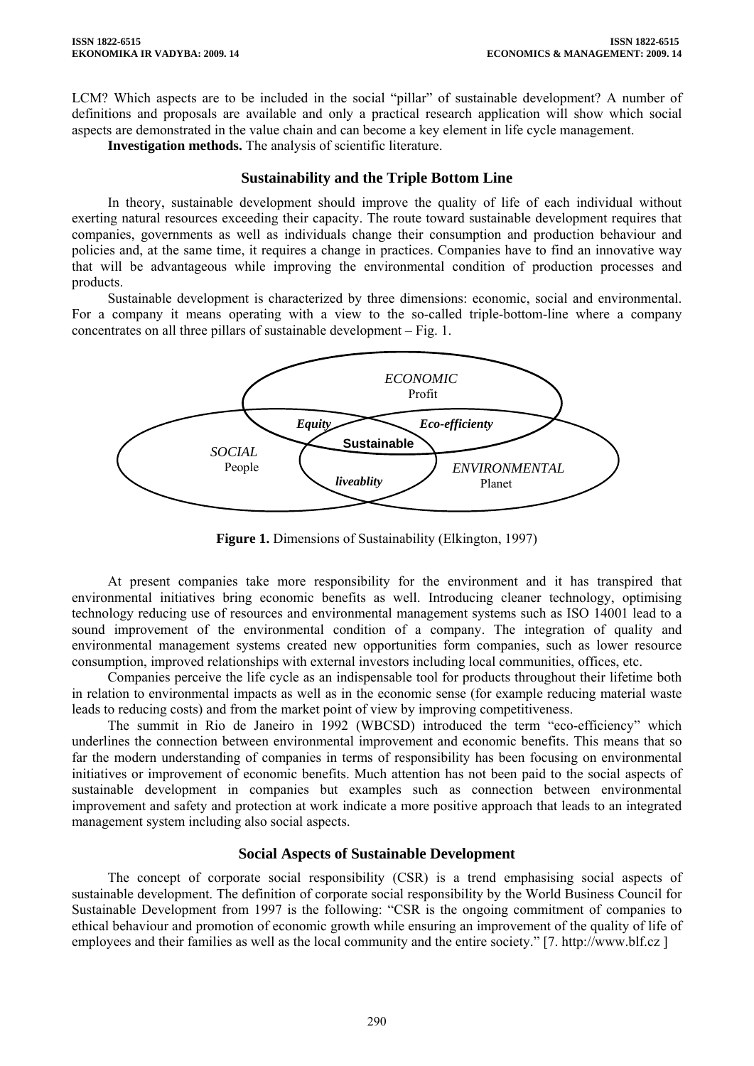LCM? Which aspects are to be included in the social "pillar" of sustainable development? A number of definitions and proposals are available and only a practical research application will show which social aspects are demonstrated in the value chain and can become a key element in life cycle management.

**Investigation methods.** The analysis of scientific literature.

### **Sustainability and the Triple Bottom Line**

In theory, sustainable development should improve the quality of life of each individual without exerting natural resources exceeding their capacity. The route toward sustainable development requires that companies, governments as well as individuals change their consumption and production behaviour and policies and, at the same time, it requires a change in practices. Companies have to find an innovative way that will be advantageous while improving the environmental condition of production processes and products.

Sustainable development is characterized by three dimensions: economic, social and environmental. For a company it means operating with a view to the so-called triple-bottom-line where a company concentrates on all three pillars of sustainable development – Fig. 1.



**Figure 1.** Dimensions of Sustainability (Elkington, 1997)

At present companies take more responsibility for the environment and it has transpired that environmental initiatives bring economic benefits as well. Introducing cleaner technology, optimising technology reducing use of resources and environmental management systems such as ISO 14001 lead to a sound improvement of the environmental condition of a company. The integration of quality and environmental management systems created new opportunities form companies, such as lower resource consumption, improved relationships with external investors including local communities, offices, etc.

Companies perceive the life cycle as an indispensable tool for products throughout their lifetime both in relation to environmental impacts as well as in the economic sense (for example reducing material waste leads to reducing costs) and from the market point of view by improving competitiveness.

The summit in Rio de Janeiro in 1992 (WBCSD) introduced the term "eco-efficiency" which underlines the connection between environmental improvement and economic benefits. This means that so far the modern understanding of companies in terms of responsibility has been focusing on environmental initiatives or improvement of economic benefits. Much attention has not been paid to the social aspects of sustainable development in companies but examples such as connection between environmental improvement and safety and protection at work indicate a more positive approach that leads to an integrated management system including also social aspects.

## **Social Aspects of Sustainable Development**

The concept of corporate social responsibility (CSR) is a trend emphasising social aspects of sustainable development. The definition of corporate social responsibility by the World Business Council for Sustainable Development from 1997 is the following: "CSR is the ongoing commitment of companies to ethical behaviour and promotion of economic growth while ensuring an improvement of the quality of life of employees and their families as well as the local community and the entire society." [7. http://www.blf.cz ]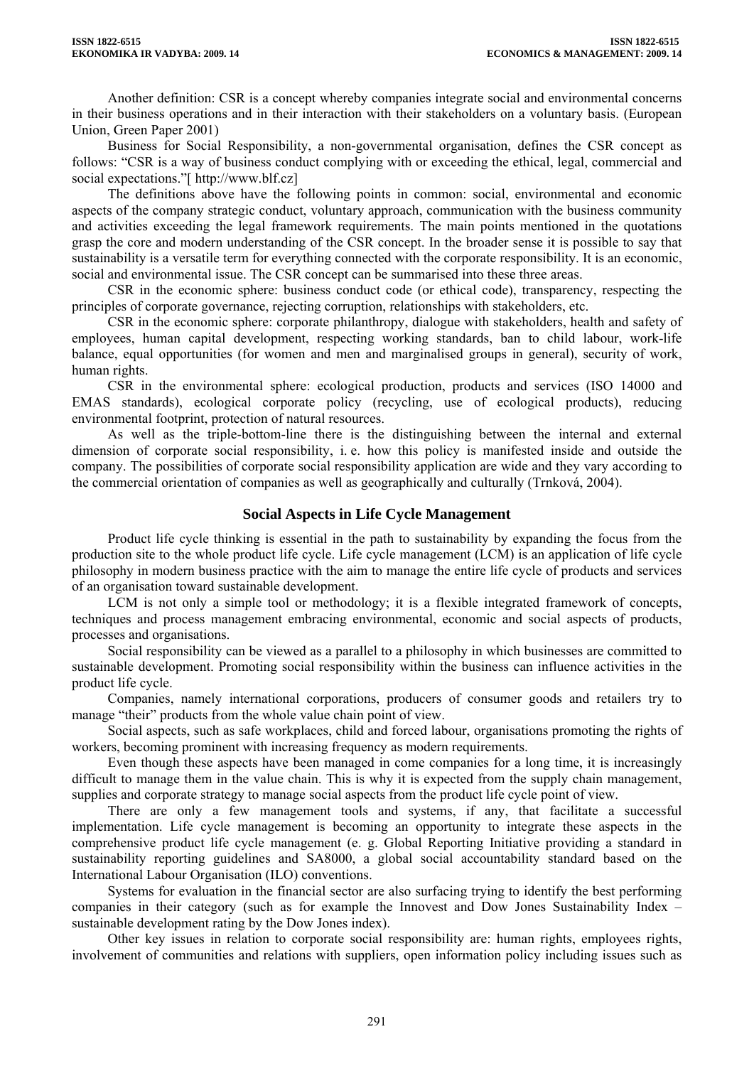Another definition: CSR is a concept whereby companies integrate social and environmental concerns in their business operations and in their interaction with their stakeholders on a voluntary basis. (European Union, Green Paper 2001)

Business for Social Responsibility, a non-governmental organisation, defines the CSR concept as follows: "CSR is a way of business conduct complying with or exceeding the ethical, legal, commercial and social expectations."[ http://www.blf.cz]

The definitions above have the following points in common: social, environmental and economic aspects of the company strategic conduct, voluntary approach, communication with the business community and activities exceeding the legal framework requirements. The main points mentioned in the quotations grasp the core and modern understanding of the CSR concept. In the broader sense it is possible to say that sustainability is a versatile term for everything connected with the corporate responsibility. It is an economic, social and environmental issue. The CSR concept can be summarised into these three areas.

CSR in the economic sphere: business conduct code (or ethical code), transparency, respecting the principles of corporate governance, rejecting corruption, relationships with stakeholders, etc.

CSR in the economic sphere: corporate philanthropy, dialogue with stakeholders, health and safety of employees, human capital development, respecting working standards, ban to child labour, work-life balance, equal opportunities (for women and men and marginalised groups in general), security of work, human rights.

CSR in the environmental sphere: ecological production, products and services (ISO 14000 and EMAS standards), ecological corporate policy (recycling, use of ecological products), reducing environmental footprint, protection of natural resources.

As well as the triple-bottom-line there is the distinguishing between the internal and external dimension of corporate social responsibility, i. e. how this policy is manifested inside and outside the company. The possibilities of corporate social responsibility application are wide and they vary according to the commercial orientation of companies as well as geographically and culturally (Trnková, 2004).

### **Social Aspects in Life Cycle Management**

Product life cycle thinking is essential in the path to sustainability by expanding the focus from the production site to the whole product life cycle. Life cycle management (LCM) is an application of life cycle philosophy in modern business practice with the aim to manage the entire life cycle of products and services of an organisation toward sustainable development.

LCM is not only a simple tool or methodology; it is a flexible integrated framework of concepts, techniques and process management embracing environmental, economic and social aspects of products, processes and organisations.

Social responsibility can be viewed as a parallel to a philosophy in which businesses are committed to sustainable development. Promoting social responsibility within the business can influence activities in the product life cycle.

Companies, namely international corporations, producers of consumer goods and retailers try to manage "their" products from the whole value chain point of view.

Social aspects, such as safe workplaces, child and forced labour, organisations promoting the rights of workers, becoming prominent with increasing frequency as modern requirements.

Even though these aspects have been managed in come companies for a long time, it is increasingly difficult to manage them in the value chain. This is why it is expected from the supply chain management, supplies and corporate strategy to manage social aspects from the product life cycle point of view.

There are only a few management tools and systems, if any, that facilitate a successful implementation. Life cycle management is becoming an opportunity to integrate these aspects in the comprehensive product life cycle management (e. g. Global Reporting Initiative providing a standard in sustainability reporting guidelines and SA8000, a global social accountability standard based on the International Labour Organisation (ILO) conventions.

Systems for evaluation in the financial sector are also surfacing trying to identify the best performing companies in their category (such as for example the Innovest and Dow Jones Sustainability Index – sustainable development rating by the Dow Jones index).

Other key issues in relation to corporate social responsibility are: human rights, employees rights, involvement of communities and relations with suppliers, open information policy including issues such as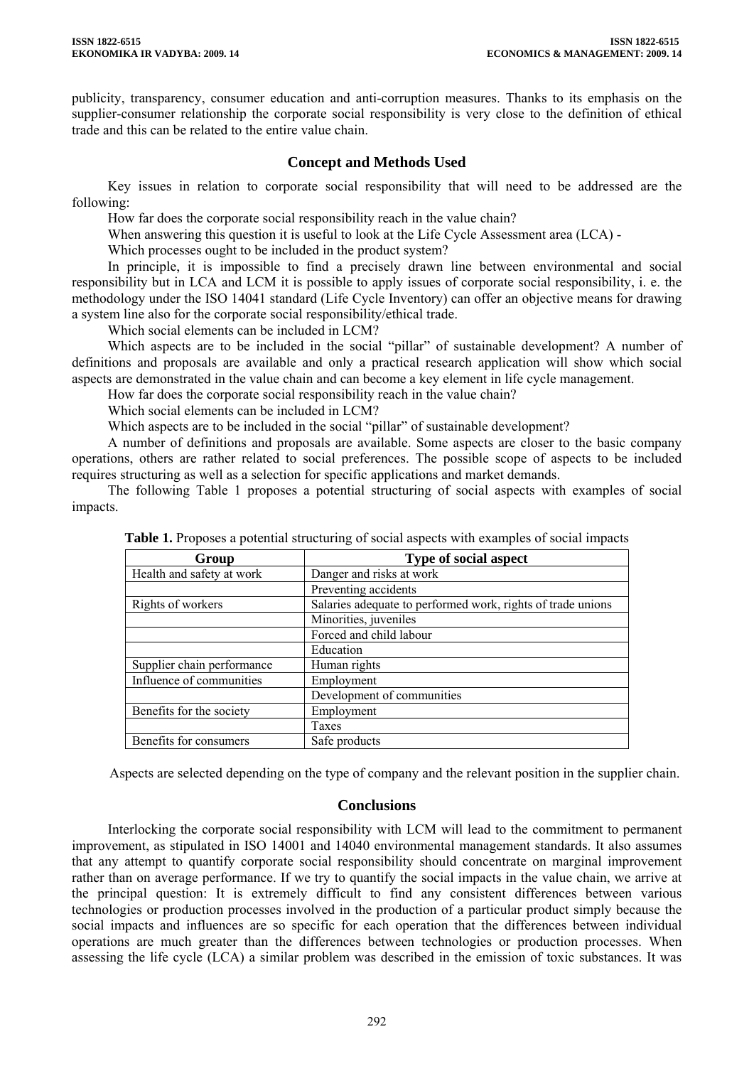publicity, transparency, consumer education and anti-corruption measures. Thanks to its emphasis on the supplier-consumer relationship the corporate social responsibility is very close to the definition of ethical trade and this can be related to the entire value chain.

## **Concept and Methods Used**

Key issues in relation to corporate social responsibility that will need to be addressed are the following:

How far does the corporate social responsibility reach in the value chain?

When answering this question it is useful to look at the Life Cycle Assessment area (LCA) -

Which processes ought to be included in the product system?

In principle, it is impossible to find a precisely drawn line between environmental and social responsibility but in LCA and LCM it is possible to apply issues of corporate social responsibility, i. e. the methodology under the ISO 14041 standard (Life Cycle Inventory) can offer an objective means for drawing a system line also for the corporate social responsibility/ethical trade.

Which social elements can be included in LCM?

Which aspects are to be included in the social "pillar" of sustainable development? A number of definitions and proposals are available and only a practical research application will show which social aspects are demonstrated in the value chain and can become a key element in life cycle management.

How far does the corporate social responsibility reach in the value chain?

Which social elements can be included in LCM?

Which aspects are to be included in the social "pillar" of sustainable development?

A number of definitions and proposals are available. Some aspects are closer to the basic company operations, others are rather related to social preferences. The possible scope of aspects to be included requires structuring as well as a selection for specific applications and market demands.

The following Table 1 proposes a potential structuring of social aspects with examples of social impacts.

| Group                      | <b>Type of social aspect</b>                                |
|----------------------------|-------------------------------------------------------------|
| Health and safety at work  | Danger and risks at work                                    |
|                            | Preventing accidents                                        |
| Rights of workers          | Salaries adequate to performed work, rights of trade unions |
|                            | Minorities, juveniles                                       |
|                            | Forced and child labour                                     |
|                            | Education                                                   |
| Supplier chain performance | Human rights                                                |
| Influence of communities   | Employment                                                  |
|                            | Development of communities                                  |
| Benefits for the society   | Employment                                                  |
|                            | Taxes                                                       |
| Benefits for consumers     | Safe products                                               |

**Table 1.** Proposes a potential structuring of social aspects with examples of social impacts

Aspects are selected depending on the type of company and the relevant position in the supplier chain.

### **Conclusions**

Interlocking the corporate social responsibility with LCM will lead to the commitment to permanent improvement, as stipulated in ISO 14001 and 14040 environmental management standards. It also assumes that any attempt to quantify corporate social responsibility should concentrate on marginal improvement rather than on average performance. If we try to quantify the social impacts in the value chain, we arrive at the principal question: It is extremely difficult to find any consistent differences between various technologies or production processes involved in the production of a particular product simply because the social impacts and influences are so specific for each operation that the differences between individual operations are much greater than the differences between technologies or production processes. When assessing the life cycle (LCA) a similar problem was described in the emission of toxic substances. It was